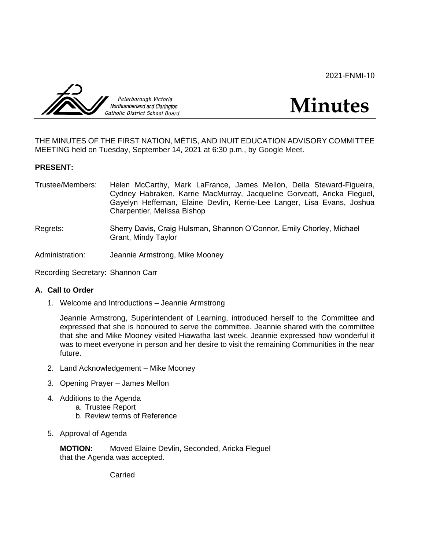2021-FNMI-10



**Minutes**

THE MINUTES OF THE FIRST NATION, MÉTIS, AND INUIT EDUCATION ADVISORY COMMITTEE MEETING held on Tuesday, September 14, 2021 at 6:30 p.m., by Google Meet.

# **PRESENT:**

- Trustee/Members: Helen McCarthy, Mark LaFrance, James Mellon, Della Steward-Figueira, Cydney Habraken, Karrie MacMurray, Jacqueline Gorveatt, Aricka Fleguel, Gayelyn Heffernan, Elaine Devlin, Kerrie-Lee Langer, Lisa Evans, Joshua Charpentier, Melissa Bishop
- Regrets: Sherry Davis, Craig Hulsman, Shannon O'Connor, Emily Chorley, Michael Grant, Mindy Taylor

Administration: Jeannie Armstrong, Mike Mooney

Recording Secretary: Shannon Carr

# **A. Call to Order**

1. Welcome and Introductions – Jeannie Armstrong

Jeannie Armstrong, Superintendent of Learning, introduced herself to the Committee and expressed that she is honoured to serve the committee. Jeannie shared with the committee that she and Mike Mooney visited Hiawatha last week. Jeannie expressed how wonderful it was to meet everyone in person and her desire to visit the remaining Communities in the near future.

- 2. Land Acknowledgement Mike Mooney
- 3. Opening Prayer James Mellon
- 4. Additions to the Agenda a. Trustee Report b. Review terms of Reference
- 5. Approval of Agenda

**MOTION:** Moved Elaine Devlin, Seconded, Aricka Fleguel that the Agenda was accepted.

Carried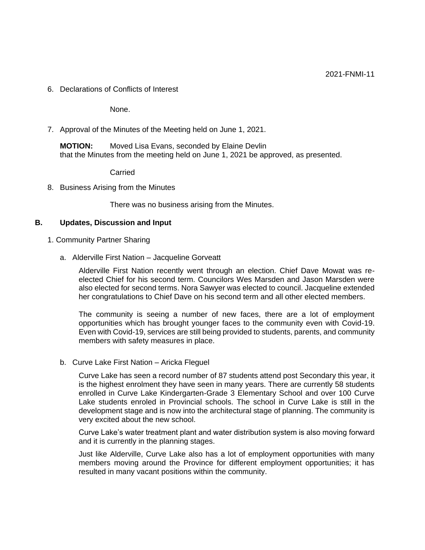6. Declarations of Conflicts of Interest

None.

7. Approval of the Minutes of the Meeting held on June 1, 2021.

**MOTION:** Moved Lisa Evans, seconded by Elaine Devlin that the Minutes from the meeting held on June 1, 2021 be approved, as presented.

Carried

8. Business Arising from the Minutes

There was no business arising from the Minutes.

### **B. Updates, Discussion and Input**

- 1. Community Partner Sharing
	- a. Alderville First Nation Jacqueline Gorveatt

Alderville First Nation recently went through an election. Chief Dave Mowat was reelected Chief for his second term. Councilors Wes Marsden and Jason Marsden were also elected for second terms. Nora Sawyer was elected to council. Jacqueline extended her congratulations to Chief Dave on his second term and all other elected members.

The community is seeing a number of new faces, there are a lot of employment opportunities which has brought younger faces to the community even with Covid-19. Even with Covid-19, services are still being provided to students, parents, and community members with safety measures in place.

b. Curve Lake First Nation – Aricka Fleguel

Curve Lake has seen a record number of 87 students attend post Secondary this year, it is the highest enrolment they have seen in many years. There are currently 58 students enrolled in Curve Lake Kindergarten-Grade 3 Elementary School and over 100 Curve Lake students enroled in Provincial schools. The school in Curve Lake is still in the development stage and is now into the architectural stage of planning. The community is very excited about the new school.

Curve Lake's water treatment plant and water distribution system is also moving forward and it is currently in the planning stages.

Just like Alderville, Curve Lake also has a lot of employment opportunities with many members moving around the Province for different employment opportunities; it has resulted in many vacant positions within the community.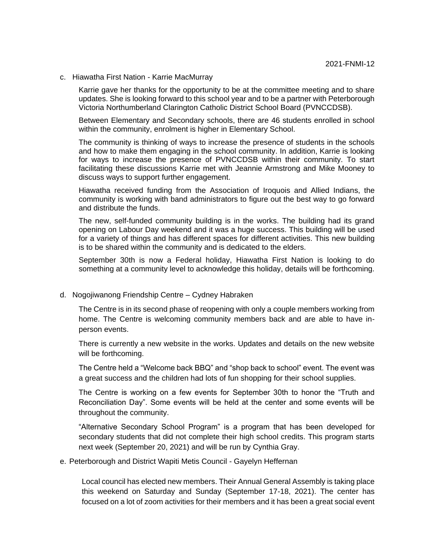c. Hiawatha First Nation - Karrie MacMurray

Karrie gave her thanks for the opportunity to be at the committee meeting and to share updates. She is looking forward to this school year and to be a partner with Peterborough Victoria Northumberland Clarington Catholic District School Board (PVNCCDSB).

Between Elementary and Secondary schools, there are 46 students enrolled in school within the community, enrolment is higher in Elementary School.

The community is thinking of ways to increase the presence of students in the schools and how to make them engaging in the school community. In addition, Karrie is looking for ways to increase the presence of PVNCCDSB within their community. To start facilitating these discussions Karrie met with Jeannie Armstrong and Mike Mooney to discuss ways to support further engagement.

Hiawatha received funding from the Association of Iroquois and Allied Indians, the community is working with band administrators to figure out the best way to go forward and distribute the funds.

The new, self-funded community building is in the works. The building had its grand opening on Labour Day weekend and it was a huge success. This building will be used for a variety of things and has different spaces for different activities. This new building is to be shared within the community and is dedicated to the elders.

September 30th is now a Federal holiday, Hiawatha First Nation is looking to do something at a community level to acknowledge this holiday, details will be forthcoming.

d. Nogojiwanong Friendship Centre – Cydney Habraken

The Centre is in its second phase of reopening with only a couple members working from home. The Centre is welcoming community members back and are able to have inperson events.

There is currently a new website in the works. Updates and details on the new website will be forthcoming.

The Centre held a "Welcome back BBQ" and "shop back to school" event. The event was a great success and the children had lots of fun shopping for their school supplies.

The Centre is working on a few events for September 30th to honor the "Truth and Reconciliation Day". Some events will be held at the center and some events will be throughout the community.

"Alternative Secondary School Program" is a program that has been developed for secondary students that did not complete their high school credits. This program starts next week (September 20, 2021) and will be run by Cynthia Gray.

e. Peterborough and District Wapiti Metis Council - Gayelyn Heffernan

Local council has elected new members. Their Annual General Assembly is taking place this weekend on Saturday and Sunday (September 17-18, 2021). The center has focused on a lot of zoom activities for their members and it has been a great social event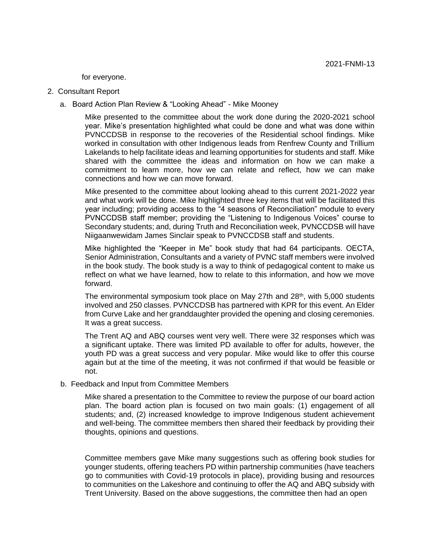for everyone.

- 2. Consultant Report
	- a. Board Action Plan Review & "Looking Ahead" Mike Mooney

 Mike presented to the committee about the work done during the 2020-2021 school year. Mike's presentation highlighted what could be done and what was done within PVNCCDSB in response to the recoveries of the Residential school findings. Mike worked in consultation with other Indigenous leads from Renfrew County and Trillium Lakelands to help facilitate ideas and learning opportunities for students and staff. Mike shared with the committee the ideas and information on how we can make a commitment to learn more, how we can relate and reflect, how we can make connections and how we can move forward.

 Mike presented to the committee about looking ahead to this current 2021-2022 year and what work will be done. Mike highlighted three key items that will be facilitated this year including; providing access to the "4 seasons of Reconciliation" module to every PVNCCDSB staff member; providing the "Listening to Indigenous Voices" course to Secondary students; and, during Truth and Reconciliation week, PVNCCDSB will have Niigaanwewidam James Sinclair speak to PVNCCDSB staff and students.

Mike highlighted the "Keeper in Me" book study that had 64 participants. OECTA, Senior Administration, Consultants and a variety of PVNC staff members were involved in the book study. The book study is a way to think of pedagogical content to make us reflect on what we have learned, how to relate to this information, and how we move forward.

The environmental symposium took place on May 27th and  $28<sup>th</sup>$ , with 5,000 students involved and 250 classes. PVNCCDSB has partnered with KPR for this event. An Elder from Curve Lake and her granddaughter provided the opening and closing ceremonies. It was a great success.

The Trent AQ and ABQ courses went very well. There were 32 responses which was a significant uptake. There was limited PD available to offer for adults, however, the youth PD was a great success and very popular. Mike would like to offer this course again but at the time of the meeting, it was not confirmed if that would be feasible or not.

b. Feedback and Input from Committee Members

Mike shared a presentation to the Committee to review the purpose of our board action plan. The board action plan is focused on two main goals: (1) engagement of all students; and, (2) increased knowledge to improve Indigenous student achievement and well-being. The committee members then shared their feedback by providing their thoughts, opinions and questions.

Committee members gave Mike many suggestions such as offering book studies for younger students, offering teachers PD within partnership communities (have teachers go to communities with Covid-19 protocols in place), providing busing and resources to communities on the Lakeshore and continuing to offer the AQ and ABQ subsidy with Trent University. Based on the above suggestions, the committee then had an open